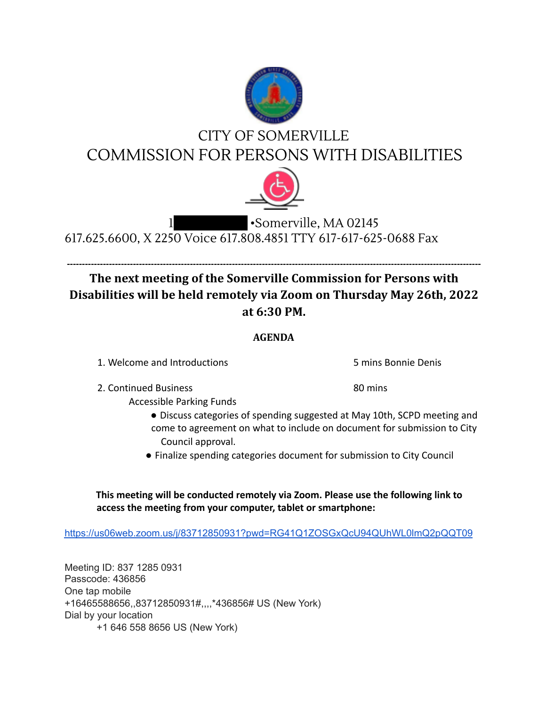

## CITY OF SOMERVILLE COMMISSION FOR PERSONS WITH DISABILITIES



## •Somerville, MA 02145 617.625.6600, X 2250 Voice 617.808.4851 TTY 617-617-625-0688 Fax

## **------------------------------------------------------------------------------------------------------------------------------------------ The next meeting of the Somerville Commission for Persons with Disabilities will be held remotely via Zoom on Thursday May 26th, 2022 at 6:30 PM.**

## **AGENDA**

1. Welcome and Introductions 5 mins Bonnie Denis

2. Continued Business 80 mins

Accessible Parking Funds

- Discuss categories of spending suggested at May 10th, SCPD meeting and come to agreement on what to include on document for submission to City Council approval.
- Finalize spending categories document for submission to City Council

**This meeting will be conducted remotely via Zoom. Please use the following link to access the meeting from your computer, tablet or smartphone:**

https://us06web.zoom.us/j/83712850931?pwd=RG41Q1ZOSGxQcU94QUhWL0lmQ2pQQT09

Meeting ID: 837 1285 0931 Passcode: 436856 One tap mobile +16465588656,,83712850931#,,,,\*436856# US (New York) Dial by your location +1 646 558 8656 US (New York)